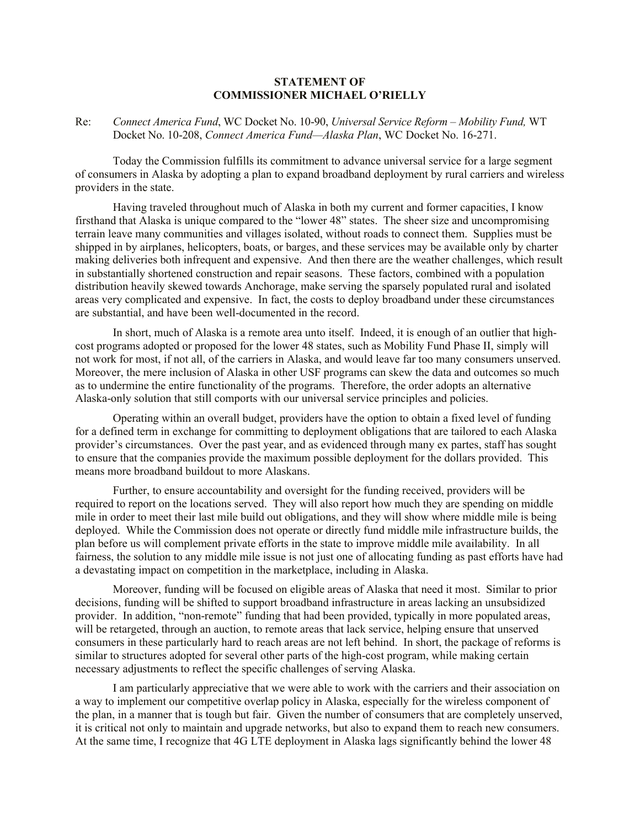## **STATEMENT OF COMMISSIONER MICHAEL O'RIELLY**

## Re: *Connect America Fund*, WC Docket No. 10-90, *Universal Service Reform – Mobility Fund,* WT Docket No. 10-208, *Connect America Fund—Alaska Plan*, WC Docket No. 16-271.

Today the Commission fulfills its commitment to advance universal service for a large segment of consumers in Alaska by adopting a plan to expand broadband deployment by rural carriers and wireless providers in the state.

Having traveled throughout much of Alaska in both my current and former capacities, I know firsthand that Alaska is unique compared to the "lower 48" states. The sheer size and uncompromising terrain leave many communities and villages isolated, without roads to connect them. Supplies must be shipped in by airplanes, helicopters, boats, or barges, and these services may be available only by charter making deliveries both infrequent and expensive. And then there are the weather challenges, which result in substantially shortened construction and repair seasons. These factors, combined with a population distribution heavily skewed towards Anchorage, make serving the sparsely populated rural and isolated areas very complicated and expensive. In fact, the costs to deploy broadband under these circumstances are substantial, and have been well-documented in the record.

In short, much of Alaska is a remote area unto itself. Indeed, it is enough of an outlier that highcost programs adopted or proposed for the lower 48 states, such as Mobility Fund Phase II, simply will not work for most, if not all, of the carriers in Alaska, and would leave far too many consumers unserved. Moreover, the mere inclusion of Alaska in other USF programs can skew the data and outcomes so much as to undermine the entire functionality of the programs. Therefore, the order adopts an alternative Alaska-only solution that still comports with our universal service principles and policies.

Operating within an overall budget, providers have the option to obtain a fixed level of funding for a defined term in exchange for committing to deployment obligations that are tailored to each Alaska provider's circumstances. Over the past year, and as evidenced through many ex partes, staff has sought to ensure that the companies provide the maximum possible deployment for the dollars provided. This means more broadband buildout to more Alaskans.

Further, to ensure accountability and oversight for the funding received, providers will be required to report on the locations served. They will also report how much they are spending on middle mile in order to meet their last mile build out obligations, and they will show where middle mile is being deployed. While the Commission does not operate or directly fund middle mile infrastructure builds, the plan before us will complement private efforts in the state to improve middle mile availability. In all fairness, the solution to any middle mile issue is not just one of allocating funding as past efforts have had a devastating impact on competition in the marketplace, including in Alaska.

Moreover, funding will be focused on eligible areas of Alaska that need it most. Similar to prior decisions, funding will be shifted to support broadband infrastructure in areas lacking an unsubsidized provider. In addition, "non-remote" funding that had been provided, typically in more populated areas, will be retargeted, through an auction, to remote areas that lack service, helping ensure that unserved consumers in these particularly hard to reach areas are not left behind. In short, the package of reforms is similar to structures adopted for several other parts of the high-cost program, while making certain necessary adjustments to reflect the specific challenges of serving Alaska.

I am particularly appreciative that we were able to work with the carriers and their association on a way to implement our competitive overlap policy in Alaska, especially for the wireless component of the plan, in a manner that is tough but fair. Given the number of consumers that are completely unserved, it is critical not only to maintain and upgrade networks, but also to expand them to reach new consumers. At the same time, I recognize that 4G LTE deployment in Alaska lags significantly behind the lower 48